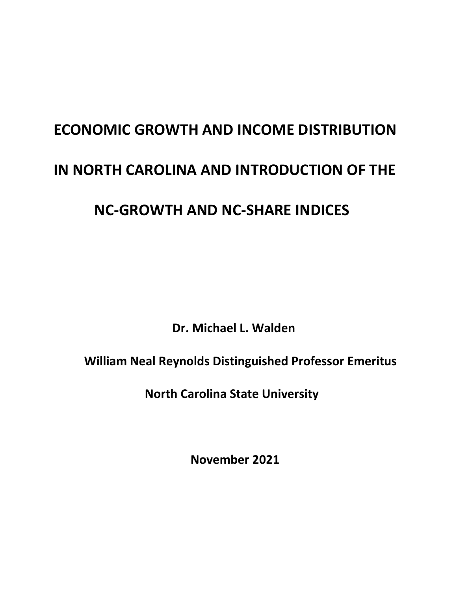# **ECONOMIC GROWTH AND INCOME DISTRIBUTION IN NORTH CAROLINA AND INTRODUCTION OF THE NC-GROWTH AND NC-SHARE INDICES**

 **Dr. Michael L. Walden**

 **William Neal Reynolds Distinguished Professor Emeritus**

 **North Carolina State University**

 **November 2021**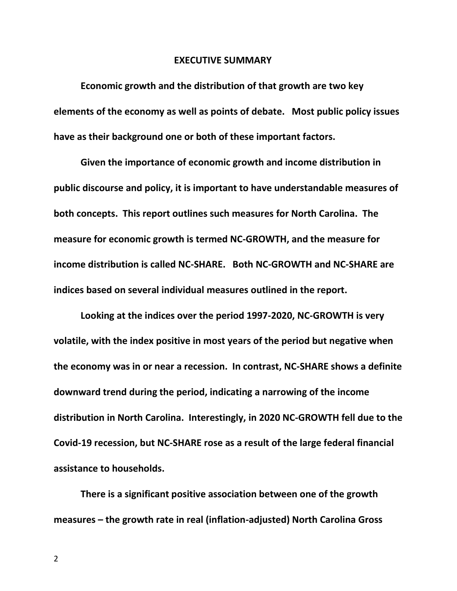## **EXECUTIVE SUMMARY**

**Economic growth and the distribution of that growth are two key elements of the economy as well as points of debate. Most public policy issues have as their background one or both of these important factors.**

**Given the importance of economic growth and income distribution in public discourse and policy, it is important to have understandable measures of both concepts. This report outlines such measures for North Carolina. The measure for economic growth is termed NC-GROWTH, and the measure for income distribution is called NC-SHARE. Both NC-GROWTH and NC-SHARE are indices based on several individual measures outlined in the report.**

**Looking at the indices over the period 1997-2020, NC-GROWTH is very volatile, with the index positive in most years of the period but negative when the economy was in or near a recession. In contrast, NC-SHARE shows a definite downward trend during the period, indicating a narrowing of the income distribution in North Carolina. Interestingly, in 2020 NC-GROWTH fell due to the Covid-19 recession, but NC-SHARE rose as a result of the large federal financial assistance to households.**

**There is a significant positive association between one of the growth measures – the growth rate in real (inflation-adjusted) North Carolina Gross** 

2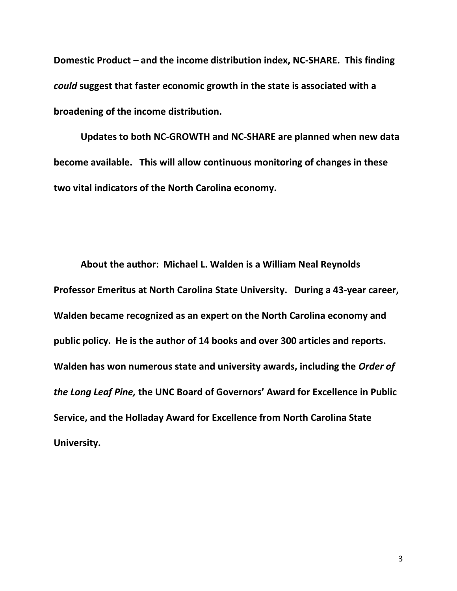**Domestic Product – and the income distribution index, NC-SHARE. This finding**  *could* **suggest that faster economic growth in the state is associated with a broadening of the income distribution.**

**Updates to both NC-GROWTH and NC-SHARE are planned when new data become available. This will allow continuous monitoring of changes in these two vital indicators of the North Carolina economy.**

**About the author: Michael L. Walden is a William Neal Reynolds Professor Emeritus at North Carolina State University. During a 43-year career, Walden became recognized as an expert on the North Carolina economy and public policy. He is the author of 14 books and over 300 articles and reports. Walden has won numerous state and university awards, including the** *Order of the Long Leaf Pine,* **the UNC Board of Governors' Award for Excellence in Public Service, and the Holladay Award for Excellence from North Carolina State University.**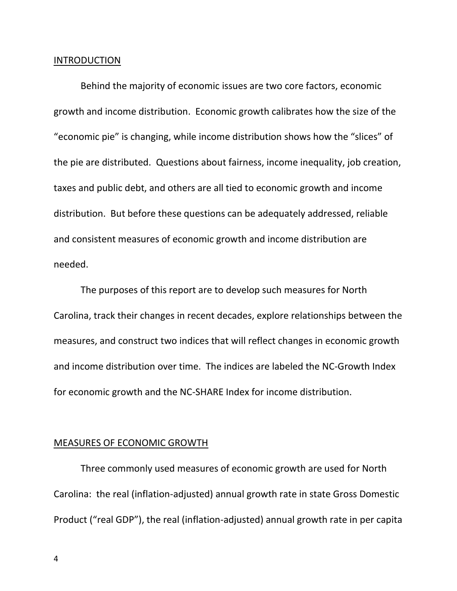#### INTRODUCTION

Behind the majority of economic issues are two core factors, economic growth and income distribution. Economic growth calibrates how the size of the "economic pie" is changing, while income distribution shows how the "slices" of the pie are distributed. Questions about fairness, income inequality, job creation, taxes and public debt, and others are all tied to economic growth and income distribution. But before these questions can be adequately addressed, reliable and consistent measures of economic growth and income distribution are needed.

The purposes of this report are to develop such measures for North Carolina, track their changes in recent decades, explore relationships between the measures, and construct two indices that will reflect changes in economic growth and income distribution over time. The indices are labeled the NC-Growth Index for economic growth and the NC-SHARE Index for income distribution.

## MEASURES OF ECONOMIC GROWTH

Three commonly used measures of economic growth are used for North Carolina: the real (inflation-adjusted) annual growth rate in state Gross Domestic Product ("real GDP"), the real (inflation-adjusted) annual growth rate in per capita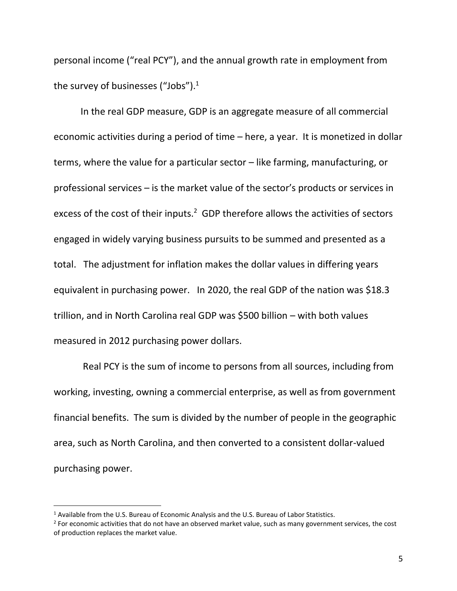personal income ("real PCY"), and the annual growth rate in employment from the survey of businesses ("Jobs"). $1$ 

In the real GDP measure, GDP is an aggregate measure of all commercial economic activities during a period of time – here, a year. It is monetized in dollar terms, where the value for a particular sector – like farming, manufacturing, or professional services – is the market value of the sector's products or services in excess of the cost of their inputs.<sup>2</sup> GDP therefore allows the activities of sectors engaged in widely varying business pursuits to be summed and presented as a total. The adjustment for inflation makes the dollar values in differing years equivalent in purchasing power. In 2020, the real GDP of the nation was \$18.3 trillion, and in North Carolina real GDP was \$500 billion – with both values measured in 2012 purchasing power dollars.

Real PCY is the sum of income to persons from all sources, including from working, investing, owning a commercial enterprise, as well as from government financial benefits. The sum is divided by the number of people in the geographic area, such as North Carolina, and then converted to a consistent dollar-valued purchasing power.

 $<sup>1</sup>$  Available from the U.S. Bureau of Economic Analysis and the U.S. Bureau of Labor Statistics.</sup>

 $2$  For economic activities that do not have an observed market value, such as many government services, the cost of production replaces the market value.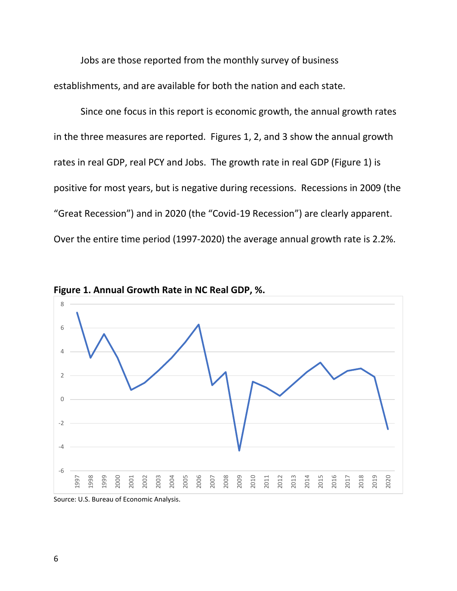Jobs are those reported from the monthly survey of business establishments, and are available for both the nation and each state.

Since one focus in this report is economic growth, the annual growth rates in the three measures are reported. Figures 1, 2, and 3 show the annual growth rates in real GDP, real PCY and Jobs. The growth rate in real GDP (Figure 1) is positive for most years, but is negative during recessions. Recessions in 2009 (the "Great Recession") and in 2020 (the "Covid-19 Recession") are clearly apparent. Over the entire time period (1997-2020) the average annual growth rate is 2.2%.



**Figure 1. Annual Growth Rate in NC Real GDP, %.**

Source: U.S. Bureau of Economic Analysis.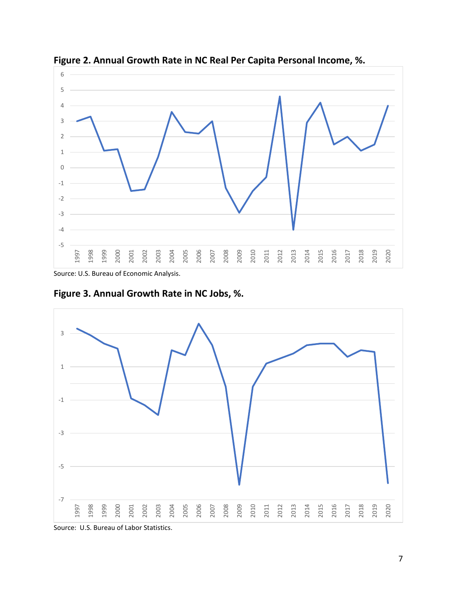

**Figure 2. Annual Growth Rate in NC Real Per Capita Personal Income, %.**

Source: U.S. Bureau of Economic Analysis.

**Figure 3. Annual Growth Rate in NC Jobs, %.**



Source: U.S. Bureau of Labor Statistics.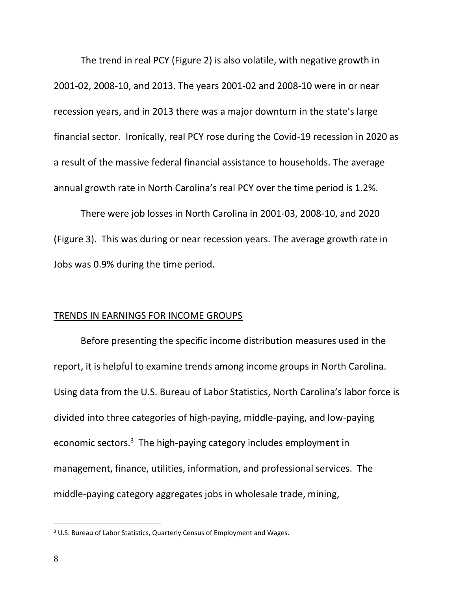The trend in real PCY (Figure 2) is also volatile, with negative growth in 2001-02, 2008-10, and 2013. The years 2001-02 and 2008-10 were in or near recession years, and in 2013 there was a major downturn in the state's large financial sector. Ironically, real PCY rose during the Covid-19 recession in 2020 as a result of the massive federal financial assistance to households. The average annual growth rate in North Carolina's real PCY over the time period is 1.2%.

There were job losses in North Carolina in 2001-03, 2008-10, and 2020 (Figure 3). This was during or near recession years. The average growth rate in Jobs was 0.9% during the time period.

## TRENDS IN EARNINGS FOR INCOME GROUPS

Before presenting the specific income distribution measures used in the report, it is helpful to examine trends among income groups in North Carolina. Using data from the U.S. Bureau of Labor Statistics, North Carolina's labor force is divided into three categories of high-paying, middle-paying, and low-paying economic sectors.<sup>3</sup> The high-paying category includes employment in management, finance, utilities, information, and professional services. The middle-paying category aggregates jobs in wholesale trade, mining,

<sup>&</sup>lt;sup>3</sup> U.S. Bureau of Labor Statistics, Quarterly Census of Employment and Wages.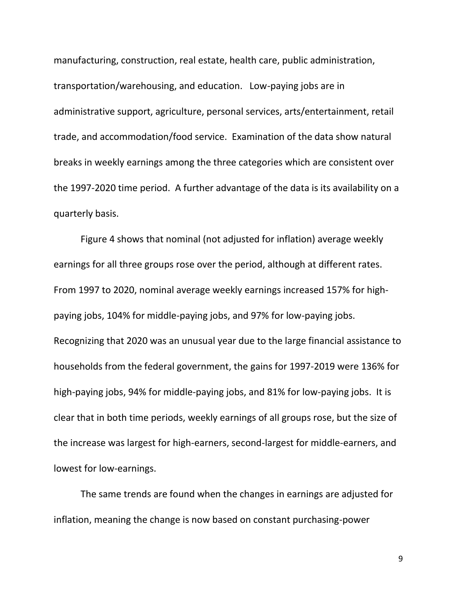manufacturing, construction, real estate, health care, public administration, transportation/warehousing, and education. Low-paying jobs are in administrative support, agriculture, personal services, arts/entertainment, retail trade, and accommodation/food service. Examination of the data show natural breaks in weekly earnings among the three categories which are consistent over the 1997-2020 time period. A further advantage of the data is its availability on a quarterly basis.

Figure 4 shows that nominal (not adjusted for inflation) average weekly earnings for all three groups rose over the period, although at different rates. From 1997 to 2020, nominal average weekly earnings increased 157% for highpaying jobs, 104% for middle-paying jobs, and 97% for low-paying jobs. Recognizing that 2020 was an unusual year due to the large financial assistance to households from the federal government, the gains for 1997-2019 were 136% for high-paying jobs, 94% for middle-paying jobs, and 81% for low-paying jobs. It is clear that in both time periods, weekly earnings of all groups rose, but the size of the increase was largest for high-earners, second-largest for middle-earners, and lowest for low-earnings.

The same trends are found when the changes in earnings are adjusted for inflation, meaning the change is now based on constant purchasing-power

9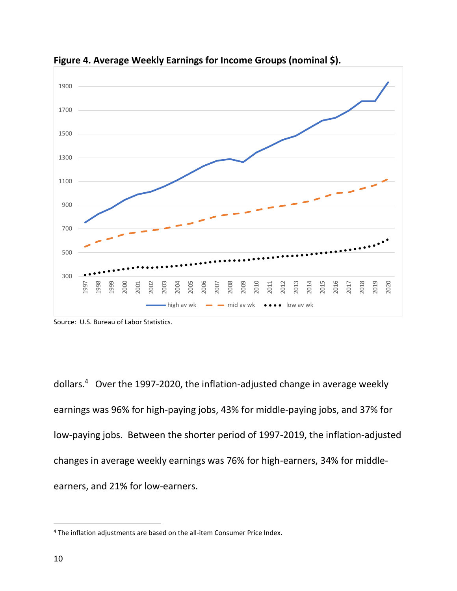

**Figure 4. Average Weekly Earnings for Income Groups (nominal \$).**

dollars.<sup>4</sup> Over the 1997-2020, the inflation-adjusted change in average weekly earnings was 96% for high-paying jobs, 43% for middle-paying jobs, and 37% for low-paying jobs. Between the shorter period of 1997-2019, the inflation-adjusted changes in average weekly earnings was 76% for high-earners, 34% for middleearners, and 21% for low-earners.

Source: U.S. Bureau of Labor Statistics.

<sup>&</sup>lt;sup>4</sup> The inflation adjustments are based on the all-item Consumer Price Index.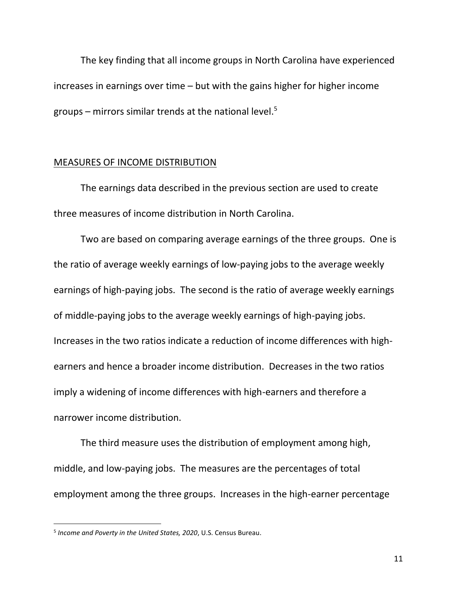The key finding that all income groups in North Carolina have experienced increases in earnings over time – but with the gains higher for higher income groups – mirrors similar trends at the national level.<sup>5</sup>

## MEASURES OF INCOME DISTRIBUTION

The earnings data described in the previous section are used to create three measures of income distribution in North Carolina.

Two are based on comparing average earnings of the three groups. One is the ratio of average weekly earnings of low-paying jobs to the average weekly earnings of high-paying jobs. The second is the ratio of average weekly earnings of middle-paying jobs to the average weekly earnings of high-paying jobs. Increases in the two ratios indicate a reduction of income differences with highearners and hence a broader income distribution. Decreases in the two ratios imply a widening of income differences with high-earners and therefore a narrower income distribution.

The third measure uses the distribution of employment among high, middle, and low-paying jobs. The measures are the percentages of total employment among the three groups. Increases in the high-earner percentage

<sup>5</sup> *Income and Poverty in the United States, 2020*, U.S. Census Bureau.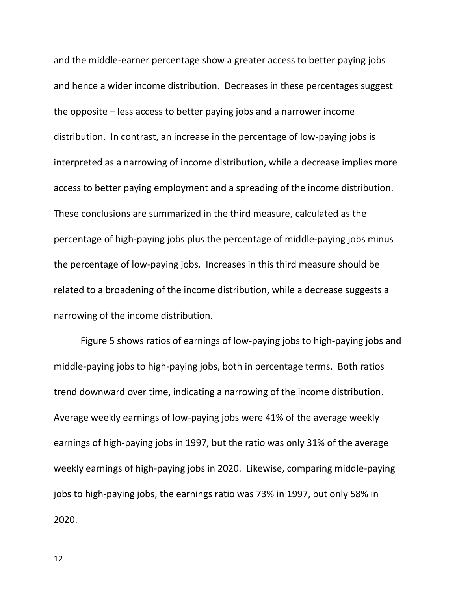and the middle-earner percentage show a greater access to better paying jobs and hence a wider income distribution. Decreases in these percentages suggest the opposite – less access to better paying jobs and a narrower income distribution. In contrast, an increase in the percentage of low-paying jobs is interpreted as a narrowing of income distribution, while a decrease implies more access to better paying employment and a spreading of the income distribution. These conclusions are summarized in the third measure, calculated as the percentage of high-paying jobs plus the percentage of middle-paying jobs minus the percentage of low-paying jobs. Increases in this third measure should be related to a broadening of the income distribution, while a decrease suggests a narrowing of the income distribution.

Figure 5 shows ratios of earnings of low-paying jobs to high-paying jobs and middle-paying jobs to high-paying jobs, both in percentage terms. Both ratios trend downward over time, indicating a narrowing of the income distribution. Average weekly earnings of low-paying jobs were 41% of the average weekly earnings of high-paying jobs in 1997, but the ratio was only 31% of the average weekly earnings of high-paying jobs in 2020. Likewise, comparing middle-paying jobs to high-paying jobs, the earnings ratio was 73% in 1997, but only 58% in 2020.

12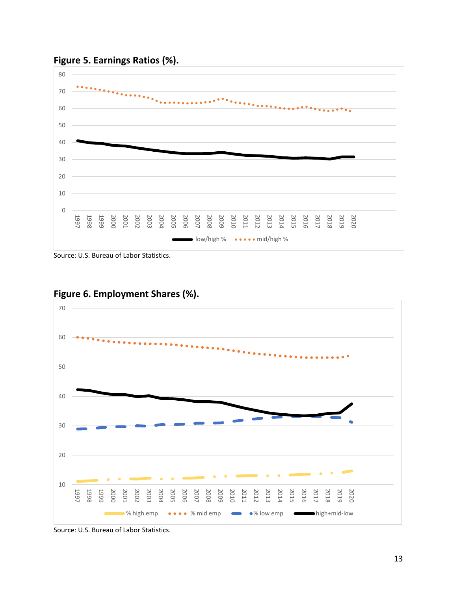

**Figure 5. Earnings Ratios (%).**

Source: U.S. Bureau of Labor Statistics.



## **Figure 6. Employment Shares (%).**

Source: U.S. Bureau of Labor Statistics.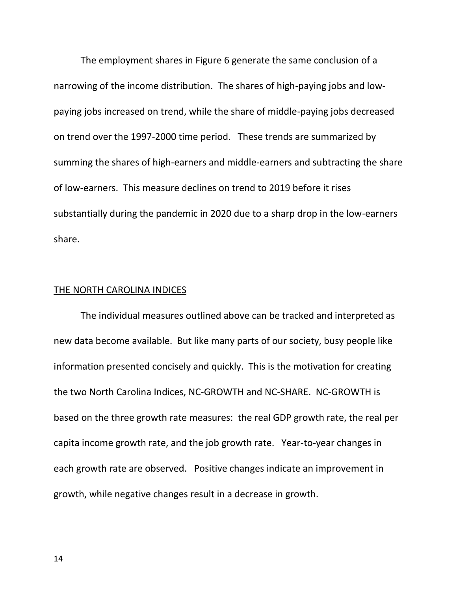The employment shares in Figure 6 generate the same conclusion of a narrowing of the income distribution. The shares of high-paying jobs and lowpaying jobs increased on trend, while the share of middle-paying jobs decreased on trend over the 1997-2000 time period. These trends are summarized by summing the shares of high-earners and middle-earners and subtracting the share of low-earners. This measure declines on trend to 2019 before it rises substantially during the pandemic in 2020 due to a sharp drop in the low-earners share.

## THE NORTH CAROLINA INDICES

The individual measures outlined above can be tracked and interpreted as new data become available. But like many parts of our society, busy people like information presented concisely and quickly. This is the motivation for creating the two North Carolina Indices, NC-GROWTH and NC-SHARE. NC-GROWTH is based on the three growth rate measures: the real GDP growth rate, the real per capita income growth rate, and the job growth rate. Year-to-year changes in each growth rate are observed. Positive changes indicate an improvement in growth, while negative changes result in a decrease in growth.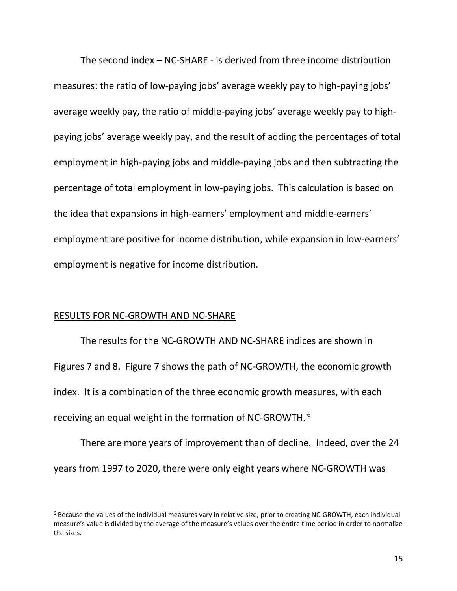The second index – NC-SHARE - is derived from three income distribution measures: the ratio of low-paying jobs' average weekly pay to high-paying jobs' average weekly pay, the ratio of middle-paying jobs' average weekly pay to highpaying jobs' average weekly pay, and the result of adding the percentages of total employment in high-paying jobs and middle-paying jobs and then subtracting the percentage of total employment in low-paying jobs. This calculation is based on the idea that expansions in high-earners' employment and middle-earners' employment are positive for income distribution, while expansion in low-earners' employment is negative for income distribution.

## RESULTS FOR NC-GROWTH AND NC-SHARE

The results for the NC-GROWTH AND NC-SHARE indices are shown in Figures 7 and 8. Figure 7 shows the path of NC-GROWTH, the economic growth index. It is a combination of the three economic growth measures, with each receiving an equal weight in the formation of NC-GROWTH.  $^6$ 

There are more years of improvement than of decline. Indeed, over the 24 years from 1997 to 2020, there were only eight years where NC-GROWTH was

<sup>&</sup>lt;sup>6</sup> Because the values of the individual measures vary in relative size, prior to creating NC-GROWTH, each individual measure's value is divided by the average of the measure's values over the entire time period in order to normalize the sizes.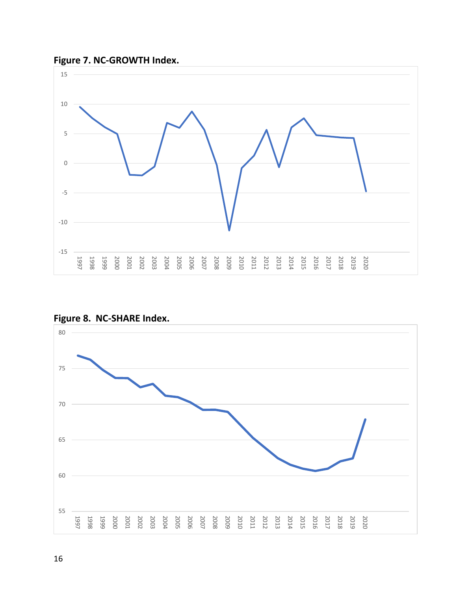



**Figure 8. NC-SHARE Index.**

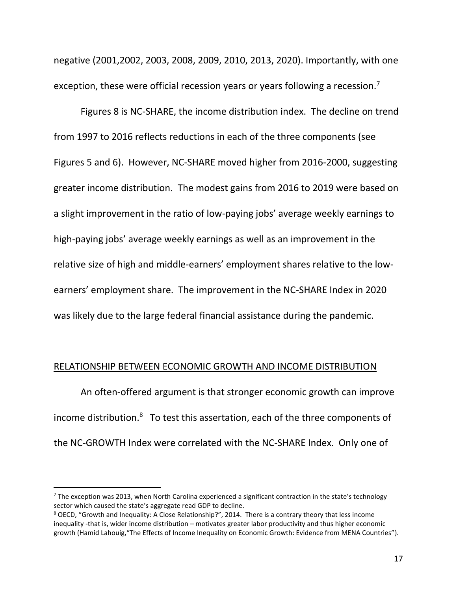negative (2001,2002, 2003, 2008, 2009, 2010, 2013, 2020). Importantly, with one exception, these were official recession years or years following a recession.<sup>7</sup>

Figures 8 is NC-SHARE, the income distribution index. The decline on trend from 1997 to 2016 reflects reductions in each of the three components (see Figures 5 and 6). However, NC-SHARE moved higher from 2016-2000, suggesting greater income distribution. The modest gains from 2016 to 2019 were based on a slight improvement in the ratio of low-paying jobs' average weekly earnings to high-paying jobs' average weekly earnings as well as an improvement in the relative size of high and middle-earners' employment shares relative to the lowearners' employment share. The improvement in the NC-SHARE Index in 2020 was likely due to the large federal financial assistance during the pandemic.

## RELATIONSHIP BETWEEN ECONOMIC GROWTH AND INCOME DISTRIBUTION

An often-offered argument is that stronger economic growth can improve income distribution. $8$  To test this assertation, each of the three components of the NC-GROWTH Index were correlated with the NC-SHARE Index. Only one of

 $7$  The exception was 2013, when North Carolina experienced a significant contraction in the state's technology sector which caused the state's aggregate read GDP to decline.

<sup>8</sup> OECD, "Growth and Inequality: A Close Relationship?", 2014. There is a contrary theory that less income inequality -that is, wider income distribution – motivates greater labor productivity and thus higher economic growth (Hamid Lahouig,"The Effects of Income Inequality on Economic Growth: Evidence from MENA Countries").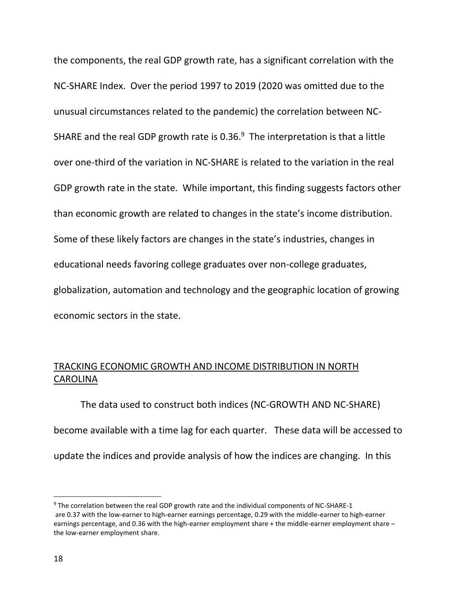the components, the real GDP growth rate, has a significant correlation with the NC-SHARE Index. Over the period 1997 to 2019 (2020 was omitted due to the unusual circumstances related to the pandemic) the correlation between NC-SHARE and the real GDP growth rate is 0.36. $9$  The interpretation is that a little over one-third of the variation in NC-SHARE is related to the variation in the real GDP growth rate in the state. While important, this finding suggests factors other than economic growth are related to changes in the state's income distribution. Some of these likely factors are changes in the state's industries, changes in educational needs favoring college graduates over non-college graduates, globalization, automation and technology and the geographic location of growing economic sectors in the state.

## TRACKING ECONOMIC GROWTH AND INCOME DISTRIBUTION IN NORTH CAROLINA

The data used to construct both indices (NC-GROWTH AND NC-SHARE) become available with a time lag for each quarter. These data will be accessed to update the indices and provide analysis of how the indices are changing. In this

<sup>9</sup> The correlation between the real GDP growth rate and the individual components of NC-SHARE-1 are 0.37 with the low-earner to high-earner earnings percentage, 0.29 with the middle-earner to high-earner earnings percentage, and 0.36 with the high-earner employment share + the middle-earner employment share – the low-earner employment share.